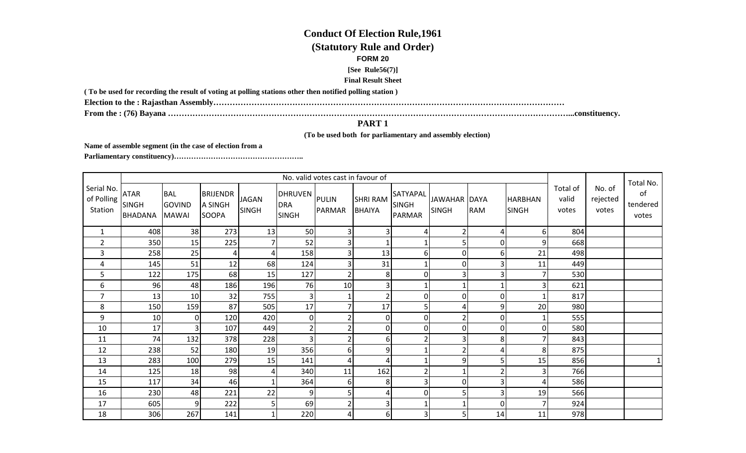## **Conduct Of Election Rule,1961(Statutory Rule and Order)FORM 20 [See Rule56(7)]Final Result Sheet**

**( To be used for recording the result of voting at polling stations other then notified polling station )**

**Election to the : Rajasthan Assembly…………………………………………………………………………………………………………………**

**From the : (76) Bayana …………………………………………………………………………………………………………………………………...constituency.**

## **PART 1**

 **(To be used both for parliamentary and assembly election)** 

**Name of assemble segment (in the case of election from a** 

**Parliamentary constituency)……………………………………………..** 

|                                     | No. valid votes cast in favour of             |                                             |                                     |                              |                                             |                |                                  |                                           |                                     |                |                                |                            |                             | Total No.               |
|-------------------------------------|-----------------------------------------------|---------------------------------------------|-------------------------------------|------------------------------|---------------------------------------------|----------------|----------------------------------|-------------------------------------------|-------------------------------------|----------------|--------------------------------|----------------------------|-----------------------------|-------------------------|
| Serial No.<br>of Polling<br>Station | <b>ATAR</b><br><b>SINGH</b><br><b>BHADANA</b> | <b>BAL</b><br><b>GOVIND</b><br><b>MAWAI</b> | <b>BRIJENDR</b><br>A SINGH<br>SOOPA | <b>JAGAN</b><br><b>SINGH</b> | DHRUVEN PULIN<br><b>DRA</b><br><b>SINGH</b> | <b>PARMAR</b>  | <b>SHRI RAM</b><br><b>BHAIYA</b> | SATYAPAL<br><b>SINGH</b><br><b>PARMAR</b> | <b>JAWAHAR DAYA</b><br><b>SINGH</b> | <b>RAM</b>     | <b>HARBHAN</b><br><b>SINGH</b> | Total of<br>valid<br>votes | No. of<br>rejected<br>votes | of<br>tendered<br>votes |
| $\mathbf{1}$                        | 408                                           | 38                                          | 273                                 | 13                           | 50                                          | 3              |                                  | 4                                         | $\overline{2}$                      | 4              | 6                              | 804                        |                             |                         |
| $\overline{2}$                      | 350                                           | 15                                          | 225                                 | 7                            | 52                                          | 3              |                                  |                                           | 5                                   | $\overline{0}$ | 9                              | 668                        |                             |                         |
| 3                                   | 258                                           | 25                                          | 4                                   | 4                            | 158                                         | 3              | 13                               | 6                                         | 0                                   | 6 <sup>1</sup> | 21                             | 498                        |                             |                         |
| 4                                   | 145                                           | 51                                          | 12                                  | 68                           | 124                                         | $\overline{3}$ | 31                               |                                           | 0                                   | 3              | 11                             | 449                        |                             |                         |
| 5                                   | 122                                           | 175                                         | 68                                  | 15                           | 127                                         | $\overline{2}$ | 8 <sup>1</sup>                   | $\overline{0}$                            | З                                   | 3              |                                | 530                        |                             |                         |
| 6                                   | 96                                            | 48                                          | 186                                 | 196                          | 76                                          | 10             | 3                                |                                           |                                     | $\mathbf{1}$   | 3                              | 621                        |                             |                         |
| 7                                   | 13                                            | 10                                          | 32                                  | 755                          | 3                                           |                |                                  | $\overline{0}$                            | $\mathbf 0$                         | $\overline{0}$ |                                | 817                        |                             |                         |
| 8                                   | 150                                           | 159                                         | 87                                  | 505                          | 17                                          | $\overline{7}$ | 17                               | 5                                         | 4                                   | $\overline{9}$ | 20                             | 980                        |                             |                         |
| 9                                   | 10                                            | 0                                           | 120                                 | 420                          | 0                                           | $\overline{2}$ | $\overline{0}$                   | $\overline{0}$                            |                                     | $\overline{0}$ |                                | 555                        |                             |                         |
| 10                                  | 17                                            | 3                                           | 107                                 | 449                          | $\overline{2}$                              | 2 <sub>1</sub> | $\overline{0}$                   | $\overline{0}$                            | $\overline{0}$                      | $\overline{0}$ | $\Omega$                       | 580                        |                             |                         |
| 11                                  | 74                                            | 132                                         | 378                                 | 228                          | 3                                           | $\overline{2}$ | $6 \mid$                         | $\overline{2}$                            | 3                                   | 8 <sup>1</sup> |                                | 843                        |                             |                         |
| 12                                  | 238                                           | 52                                          | 180                                 | 19                           | 356                                         | 6              | 9                                |                                           |                                     | 4              | 8                              | 875                        |                             |                         |
| 13                                  | 283                                           | 100                                         | 279                                 | 15                           | 141                                         | 4              |                                  |                                           | 9                                   | 5              | 15                             | 856                        |                             |                         |
| 14                                  | 125                                           | 18                                          | 98                                  | 4                            | 340                                         | 11             | 162                              | ົາ                                        |                                     | 2              | 3                              | 766                        |                             |                         |
| 15                                  | 117                                           | 34                                          | 46                                  | $\mathbf 1$                  | 364                                         | $6 \mid$       | 8 <sup>1</sup>                   | $\overline{3}$                            | $\mathbf 0$                         | $\overline{3}$ |                                | 586                        |                             |                         |
| 16                                  | 230                                           | 48                                          | 221                                 | 22                           | 9                                           | 5              |                                  | 0                                         | 5                                   | 3              | 19                             | 566                        |                             |                         |
| 17                                  | 605                                           | 9                                           | 222                                 | 5                            | 69                                          | $\overline{2}$ |                                  |                                           |                                     | $\overline{0}$ |                                | 924                        |                             |                         |
| 18                                  | 306                                           | 267                                         | 141                                 | $\mathbf 1$                  | 220                                         | 4              | $6 \mid$                         | 3                                         | 5                                   | 14             | 11                             | 978                        |                             |                         |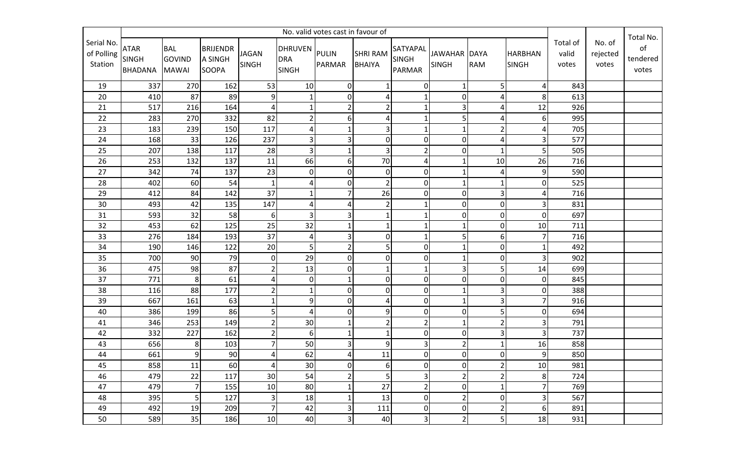|                                     | No. valid votes cast in favour of             |                                             |                                            |                              |                                             |                 |                           |                                           |                              |                |                                |                            |                             |                                      |
|-------------------------------------|-----------------------------------------------|---------------------------------------------|--------------------------------------------|------------------------------|---------------------------------------------|-----------------|---------------------------|-------------------------------------------|------------------------------|----------------|--------------------------------|----------------------------|-----------------------------|--------------------------------------|
| Serial No.<br>of Polling<br>Station | <b>ATAR</b><br><b>SINGH</b><br><b>BHADANA</b> | <b>BAL</b><br><b>GOVIND</b><br><b>MAWAI</b> | <b>BRIJENDR</b><br>A SINGH<br><b>SOOPA</b> | <b>JAGAN</b><br><b>SINGH</b> | DHRUVEN PULIN<br><b>DRA</b><br><b>SINGH</b> | PARMAR          | <b>SHRI RAM</b><br>BHAIYA | SATYAPAL<br><b>SINGH</b><br><b>PARMAR</b> | JAWAHAR DAYA<br><b>SINGH</b> | <b>RAM</b>     | <b>HARBHAN</b><br><b>SINGH</b> | Total of<br>valid<br>votes | No. of<br>rejected<br>votes | Total No.<br>of<br>tendered<br>votes |
| 19                                  | 337                                           | 270                                         | 162                                        | 53                           | 10                                          | $\overline{0}$  |                           | $\overline{0}$                            | 1                            | 5              | $\overline{4}$                 | 843                        |                             |                                      |
| 20                                  | 410                                           | 87                                          | 89                                         | 9                            | $\mathbf{1}$                                | $\overline{0}$  | 4                         | $\mathbf{1}$                              | $\overline{0}$               | 4              | 8                              | 613                        |                             |                                      |
| 21                                  | 517                                           | 216                                         | 164                                        | $\overline{4}$               |                                             | $\overline{2}$  | $\overline{2}$            | 1                                         | 3                            | 4              | 12                             | 926                        |                             |                                      |
| 22                                  | 283                                           | 270                                         | 332                                        | 82                           | $\overline{2}$                              | $6 \mid$        | 4                         | $\mathbf{1}$                              | 5                            | 4              | 6                              | 995                        |                             |                                      |
| 23                                  | 183                                           | 239                                         | 150                                        | 117                          | $\overline{4}$                              | $\mathbf{1}$    | 3                         | 1                                         | $\mathbf 1$                  | $\overline{2}$ |                                | 705                        |                             |                                      |
| 24                                  | 168                                           | 33                                          | 126                                        | 237                          | 3                                           | 3               | 0                         | $\boldsymbol{0}$                          | $\mathbf 0$                  | 4              | 3                              | 577                        |                             |                                      |
| 25                                  | 207                                           | 138                                         | 117                                        | 28                           | $\overline{3}$                              | $\mathbf{1}$    | 3                         | $\overline{2}$                            | $\pmb{0}$                    | $\mathbf{1}$   | 5                              | 505                        |                             |                                      |
| 26                                  | 253                                           | 132                                         | 137                                        | 11                           | 66                                          | $6 \mid$        | 70                        | $\overline{4}$                            |                              | 10             | 26                             | 716                        |                             |                                      |
| 27                                  | 342                                           | 74                                          | 137                                        | 23                           | $\pmb{0}$                                   | $\overline{0}$  | 0                         | $\boldsymbol{0}$                          | 1                            | 4              | 9                              | 590                        |                             |                                      |
| 28                                  | 402                                           | 60                                          | 54                                         | $\mathbf{1}$                 | 4                                           | $\overline{0}$  | $\mathfrak{p}$            | $\mathbf 0$                               | 1                            | 1              | $\Omega$                       | 525                        |                             |                                      |
| 29                                  | 412                                           | 84                                          | 142                                        | 37                           | 1                                           | $\overline{7}$  | 26                        | $\mathbf 0$                               | $\overline{0}$               | 3              |                                | 716                        |                             |                                      |
| 30                                  | 493                                           | 42                                          | 135                                        | 147                          | 4                                           | 4               | $\overline{2}$            | $\mathbf{1}$                              | $\pmb{0}$                    | $\overline{0}$ | 3                              | 831                        |                             |                                      |
| 31                                  | 593                                           | 32                                          | 58                                         | 6                            | 3 <sup>1</sup>                              | $\mathbf{3}$    |                           |                                           | $\mathbf 0$                  | $\overline{0}$ | $\overline{0}$                 | 697                        |                             |                                      |
| 32                                  | 453                                           | 62                                          | 125                                        | 25                           | 32                                          | $\mathbf{1}$    | $\mathbf{1}$              | $\mathbf 1$                               | $\mathbf{1}$                 | οI             | 10                             | 711                        |                             |                                      |
| 33                                  | 276                                           | 184                                         | 193                                        | 37                           | 4                                           | $\overline{3}$  | $\mathbf{0}$              | 1                                         | 5                            | 6              |                                | 716                        |                             |                                      |
| 34                                  | 190                                           | 146                                         | 122                                        | 20                           | 5                                           | $\overline{2}$  | 5                         | $\mathbf 0$                               |                              | 0              |                                | 492                        |                             |                                      |
| 35                                  | 700                                           | 90                                          | 79                                         | $\pmb{0}$                    | 29                                          | $\overline{0}$  | 0                         | 0                                         | $\mathbf{1}$                 | $\overline{0}$ | 3                              | 902                        |                             |                                      |
| 36                                  | 475                                           | 98                                          | 87                                         | $\overline{2}$               | 13                                          | $\overline{0}$  |                           | $\mathbf{1}$                              | 3                            | 5              | 14                             | 699                        |                             |                                      |
| 37                                  | 771                                           | 8                                           | 61                                         | 4                            | $\pmb{0}$                                   | $\mathbf{1}$    | $\overline{0}$            | $\pmb{0}$                                 | $\overline{0}$               | οI             | $\overline{0}$                 | 845                        |                             |                                      |
| 38                                  | 116                                           | 88                                          | 177                                        | $\overline{2}$               | $\mathbf{1}$                                | $\overline{0}$  | $\overline{0}$            | $\pmb{0}$                                 | 1                            | 3              | $\Omega$                       | 388                        |                             |                                      |
| 39                                  | 667                                           | 161                                         | 63                                         | 1                            | 9                                           | $\overline{0}$  | 4                         | $\pmb{0}$                                 | 1                            | 3              | 7                              | 916                        |                             |                                      |
| 40                                  | 386                                           | 199                                         | 86                                         | 5                            | $\overline{4}$                              | $\overline{0}$  | 9                         | $\boldsymbol{0}$                          | $\mathbf 0$                  | 5              | $\Omega$                       | 694                        |                             |                                      |
| 41                                  | 346                                           | 253                                         | 149                                        | $\overline{2}$               | 30                                          | $\mathbf{1}$    | $\overline{2}$            | $\overline{2}$                            | $\mathbf{1}$                 | $\overline{2}$ | 3                              | 791                        |                             |                                      |
| 42                                  | 332                                           | 227                                         | 162                                        | $\overline{c}$               | 6                                           | $\mathbf{1}$    |                           | $\pmb{0}$                                 | $\mathbf 0$                  | 3              | 3                              | 737                        |                             |                                      |
| 43                                  | 656                                           | 8                                           | 103                                        | $\overline{7}$               | 50                                          | 3               | 9                         | 3                                         | $\overline{2}$               | $\mathbf{1}$   | 16                             | 858                        |                             |                                      |
| 44                                  | 661                                           | 9                                           | 90                                         | 4                            | 62                                          | $\vert 4 \vert$ | 11                        | $\overline{0}$                            | $\overline{0}$               | $\overline{0}$ | 9 <sub>l</sub>                 | 850                        |                             |                                      |
| 45                                  | 858                                           | 11                                          | 60                                         | 4                            | 30                                          | $\overline{0}$  | 6                         | $\boldsymbol{0}$                          | $\Omega$                     | $\overline{2}$ | 10                             | 981                        |                             |                                      |
| 46                                  | 479                                           | 22                                          | 117                                        | 30                           | 54                                          | $\overline{2}$  | 5 <sup>1</sup>            | 3                                         | $\overline{2}$               | $\overline{2}$ | 8 <sup>1</sup>                 | 724                        |                             |                                      |
| 47                                  | 479                                           | $\overline{7}$                              | 155                                        | 10                           | 80                                          | $\mathbf{1}$    | 27                        | $\overline{2}$                            | $\pmb{0}$                    | $\mathbf{1}$   | 7                              | 769                        |                             |                                      |
| 48                                  | 395                                           | 5                                           | 127                                        | 3                            | 18                                          | $\mathbf{1}$    | 13                        | $\pmb{0}$                                 | $\overline{2}$               | 0              | 3                              | 567                        |                             |                                      |
| 49                                  | 492                                           | 19                                          | 209                                        | $\overline{7}$               | 42                                          | 3               | 111                       | $\boldsymbol{0}$                          | $\pmb{0}$                    | $\overline{2}$ | 6 <sup>1</sup>                 | 891                        |                             |                                      |
| 50                                  | 589                                           | 35                                          | 186                                        | 10                           | 40                                          | 3               | 40                        | $\mathbf{3}$                              | $\overline{2}$               | 5              | 18                             | 931                        |                             |                                      |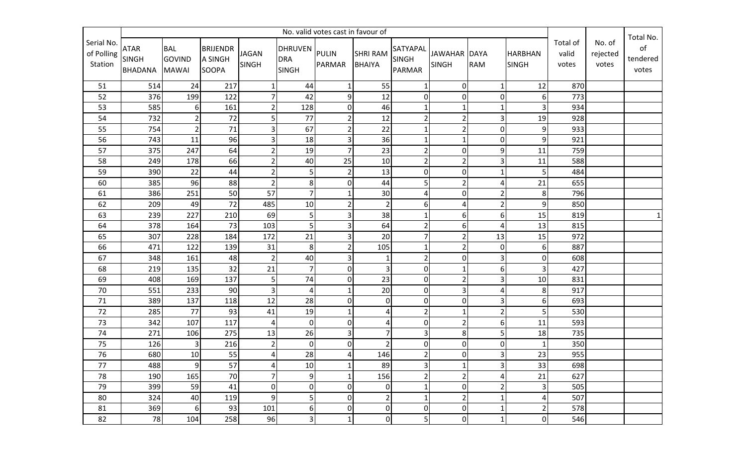|                                     | No. valid votes cast in favour of             |                                             |                                            |                              |                                             |                |                                  |                                           |                              |                |                                |                            |                             | Total No.               |
|-------------------------------------|-----------------------------------------------|---------------------------------------------|--------------------------------------------|------------------------------|---------------------------------------------|----------------|----------------------------------|-------------------------------------------|------------------------------|----------------|--------------------------------|----------------------------|-----------------------------|-------------------------|
| Serial No.<br>of Polling<br>Station | <b>ATAR</b><br><b>SINGH</b><br><b>BHADANA</b> | <b>BAL</b><br><b>GOVIND</b><br><b>MAWAI</b> | <b>BRIJENDR</b><br>A SINGH<br><b>SOOPA</b> | <b>JAGAN</b><br><b>SINGH</b> | DHRUVEN PULIN<br><b>DRA</b><br><b>SINGH</b> | PARMAR         | <b>SHRI RAM</b><br><b>BHAIYA</b> | SATYAPAL<br><b>SINGH</b><br><b>PARMAR</b> | JAWAHAR DAYA<br><b>SINGH</b> | <b>RAM</b>     | <b>HARBHAN</b><br><b>SINGH</b> | Total of<br>valid<br>votes | No. of<br>rejected<br>votes | of<br>tendered<br>votes |
| 51                                  | 514                                           | 24                                          | 217                                        | 1                            | 44                                          | $1\vert$       | 55                               | 1                                         | $\overline{0}$               | 1              | 12                             | 870                        |                             |                         |
| 52                                  | 376                                           | 199                                         | 122                                        | $\overline{7}$               | 42                                          | 9              | 12                               | $\mathbf 0$                               | $\overline{0}$               | 0              | 6 <sup>1</sup>                 | 773                        |                             |                         |
| 53                                  | 585                                           | 6                                           | 161                                        | $\overline{\mathbf{c}}$      | 128                                         | $\overline{0}$ | 46                               |                                           | 1                            | 1              | 3                              | 934                        |                             |                         |
| 54                                  | 732                                           | $\overline{2}$                              | 72                                         | 5                            | 77                                          | 2              | 12                               | $\overline{2}$                            | $\overline{2}$               | 3              | 19                             | 928                        |                             |                         |
| 55                                  | 754                                           | $\overline{2}$                              | 71                                         | 3                            | 67                                          | 2              | 22                               |                                           | $\overline{2}$               | $\overline{0}$ | 9 <sub>l</sub>                 | 933                        |                             |                         |
| 56                                  | 743                                           | 11                                          | 96                                         | 3                            | 18                                          | $\overline{3}$ | 36                               |                                           | $\mathbf{1}$                 | 0              | 9                              | 921                        |                             |                         |
| 57                                  | 375                                           | 247                                         | 64                                         | $\overline{2}$               | 19                                          | 7 <sup>1</sup> | 23                               | $\overline{2}$                            | $\overline{0}$               | $\overline{9}$ | 11                             | 759                        |                             |                         |
| 58                                  | 249                                           | 178                                         | 66                                         | $\overline{\mathbf{c}}$      | 40                                          | 25             | 10                               | $\overline{2}$                            | $\overline{2}$               | 3              | 11                             | 588                        |                             |                         |
| 59                                  | 390                                           | 22                                          | 44                                         | $\overline{\mathbf{c}}$      | 5                                           | 2              | 13                               | $\pmb{0}$                                 | $\mathbf 0$                  | 1              | 5                              | 484                        |                             |                         |
| 60                                  | 385                                           | 96                                          | 88                                         | $\overline{2}$               | $\bf 8$                                     | $\overline{0}$ | 44                               | 5                                         | $\overline{2}$               | 4              | 21                             | 655                        |                             |                         |
| 61                                  | 386                                           | 251                                         | 50                                         | 57                           | $\overline{7}$                              | $\mathbf{1}$   | 30                               | 4                                         | $\mathbf 0$                  | $\overline{2}$ | 8                              | 796                        |                             |                         |
| 62                                  | 209                                           | 49                                          | 72                                         | 485                          | 10                                          | 2              | $\overline{2}$                   | 6                                         | 4                            | $\overline{2}$ | 9                              | 850                        |                             |                         |
| 63                                  | 239                                           | 227                                         | 210                                        | 69                           | $\mathsf S$                                 | $\overline{3}$ | 38                               |                                           | 6                            | 6              | 15                             | 819                        |                             | $\mathbf{1}$            |
| 64                                  | 378                                           | 164                                         | 73                                         | 103                          | 5                                           | $\overline{3}$ | 64                               | $\overline{2}$                            | 6                            | 4              | 13                             | 815                        |                             |                         |
| 65                                  | 307                                           | 228                                         | 184                                        | 172                          | 21                                          | $\overline{3}$ | 20                               | $\overline{7}$                            | $\overline{2}$               | 13             | 15                             | 972                        |                             |                         |
| 66                                  | 471                                           | 122                                         | 139                                        | 31                           | $\bf 8$                                     | 2              | 105                              | 1                                         | $\overline{2}$               | 0              | 6 <sup>1</sup>                 | 887                        |                             |                         |
| 67                                  | 348                                           | 161                                         | 48                                         | $\overline{2}$               | 40                                          | $\overline{3}$ |                                  | $\overline{2}$                            | $\mathbf 0$                  | 3              | $\overline{0}$                 | 608                        |                             |                         |
| 68                                  | 219                                           | 135                                         | 32                                         | 21                           | $\overline{7}$                              | $\overline{0}$ |                                  | $\pmb{0}$                                 | $\mathbf{1}$                 | 6              | 3                              | 427                        |                             |                         |
| 69                                  | 408                                           | 169                                         | 137                                        | 5                            | 74                                          | $\overline{0}$ | 23                               | $\overline{0}$                            | $\overline{2}$               | $\overline{3}$ | 10                             | 831                        |                             |                         |
| 70                                  | 551                                           | 233                                         | 90                                         | 3                            | $\overline{4}$                              | $1\vert$       | 20                               | $\overline{0}$                            | $\overline{\mathbf{3}}$      | 4              | 8 <sup>1</sup>                 | 917                        |                             |                         |
| 71                                  | 389                                           | 137                                         | 118                                        | 12                           | 28                                          | $\overline{0}$ | $\boldsymbol{0}$                 | $\pmb{0}$                                 | $\pmb{0}$                    | 3              | 6 <sup>1</sup>                 | 693                        |                             |                         |
| 72                                  | 285                                           | 77                                          | 93                                         | 41                           | 19                                          | 1              | Δ                                | $\overline{2}$                            | $\mathbf{1}$                 | $\overline{2}$ | 5                              | 530                        |                             |                         |
| 73                                  | 342                                           | 107                                         | 117                                        | $\sqrt{4}$                   | $\mathbf 0$                                 | $\overline{0}$ | 4                                | $\mathbf 0$                               | $\overline{2}$               | 6              | 11                             | 593                        |                             |                         |
| 74                                  | 271                                           | 106                                         | 275                                        | 13                           | 26                                          | $\overline{3}$ |                                  | 3                                         | 8                            | 5              | 18                             | 735                        |                             |                         |
| 75                                  | 126                                           | 3                                           | 216                                        | $\overline{2}$               | $\mathbf 0$                                 | $\overline{0}$ |                                  | $\pmb{0}$                                 | $\overline{0}$               | 0              |                                | 350                        |                             |                         |
| 76                                  | 680                                           | 10 <sup>1</sup>                             | 55                                         | 4                            | 28                                          | 4              | 146                              | 2                                         | $\overline{0}$               | $\overline{3}$ | 23                             | 955                        |                             |                         |
| 77                                  | 488                                           | 9                                           | 57                                         | 4                            | 10                                          | $\mathbf{1}$   | 89                               | $\mathsf 3$                               | $\mathbf{1}$                 | 3              | 33                             | 698                        |                             |                         |
| 78                                  | 190                                           | 165                                         | 70                                         | $\overline{7}$               | $9\,$                                       | $1\vert$       | 156                              | $\overline{2}$                            | $\overline{2}$               | 4              | 21                             | 627                        |                             |                         |
| 79                                  | 399                                           | 59                                          | 41                                         | 0                            | $\mathbf 0$                                 | $\overline{0}$ | 0                                | $\mathbf 1$                               | $\mathbf 0$                  | $\overline{2}$ | 3 <sup>1</sup>                 | 505                        |                             |                         |
| 80                                  | 324                                           | 40                                          | 119                                        | 9                            | 5                                           | $\overline{0}$ | $\overline{2}$                   | 1                                         | $\overline{2}$               | $\mathbf{1}$   | $\overline{4}$                 | 507                        |                             |                         |
| 81                                  | 369                                           | 6                                           | 93                                         | 101                          | 6                                           | $\overline{0}$ | $\boldsymbol{0}$                 | $\boldsymbol{0}$                          | $\overline{0}$               | $\mathbf{1}$   | 2 <sup>1</sup>                 | 578                        |                             |                         |
| 82                                  | 78                                            | 104                                         | 258                                        | 96                           | 3                                           | $\mathbf{1}$   | $\mathbf 0$                      | 5                                         | $\pmb{0}$                    | $\mathbf{1}$   | $\overline{0}$                 | 546                        |                             |                         |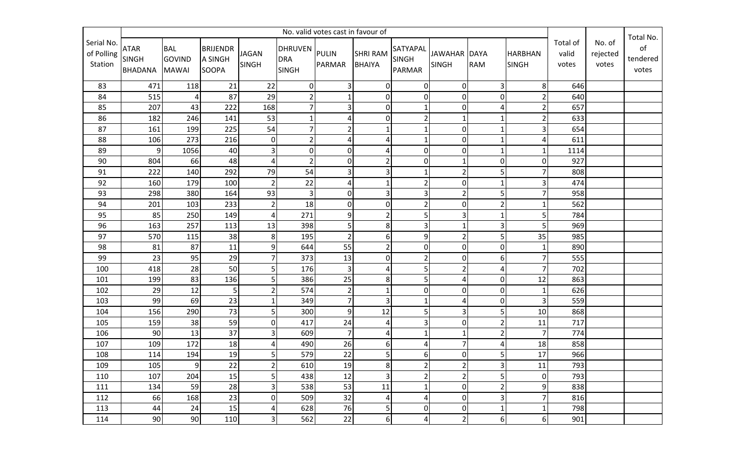|                                     | No. valid votes cast in favour of             |                                             |                                            |                         |                                             |                         |                                  |                                           |                                     |                |                                |                            |                             |                                      |
|-------------------------------------|-----------------------------------------------|---------------------------------------------|--------------------------------------------|-------------------------|---------------------------------------------|-------------------------|----------------------------------|-------------------------------------------|-------------------------------------|----------------|--------------------------------|----------------------------|-----------------------------|--------------------------------------|
| Serial No.<br>of Polling<br>Station | <b>ATAR</b><br><b>SINGH</b><br><b>BHADANA</b> | <b>BAL</b><br><b>GOVIND</b><br><b>MAWAI</b> | <b>BRIJENDR</b><br>A SINGH<br><b>SOOPA</b> | <b>JAGAN</b><br>SINGH   | DHRUVEN PULIN<br><b>DRA</b><br><b>SINGH</b> | PARMAR                  | <b>SHRI RAM</b><br><b>BHAIYA</b> | SATYAPAL<br><b>SINGH</b><br><b>PARMAR</b> | <b>JAWAHAR DAYA</b><br><b>SINGH</b> | <b>RAM</b>     | <b>HARBHAN</b><br><b>SINGH</b> | Total of<br>valid<br>votes | No. of<br>rejected<br>votes | Total No.<br>of<br>tendered<br>votes |
| 83                                  | 471                                           | 118                                         | 21                                         | 22                      | $\overline{0}$                              | $\overline{\mathbf{3}}$ | $\overline{0}$                   | $\overline{0}$                            | $\overline{0}$                      | 3              | 8 <sup>1</sup>                 | 646                        |                             |                                      |
| 84                                  | 515                                           | 4                                           | 87                                         | 29                      | $\overline{2}$                              | $1\vert$                | $\mathbf 0$                      | $\mathbf 0$                               | $\overline{0}$                      | 0              |                                | 640                        |                             |                                      |
| 85                                  | 207                                           | 43                                          | 222                                        | 168                     | $\overline{7}$                              | 3 <sup>1</sup>          | 0                                |                                           | $\overline{0}$                      | 4              | $\overline{2}$                 | 657                        |                             |                                      |
| 86                                  | 182                                           | 246                                         | 141                                        | 53                      | $\mathbf{1}$                                | $\overline{4}$          | 0                                | $\overline{2}$                            | $\mathbf{1}$                        | $\mathbf{1}$   |                                | 633                        |                             |                                      |
| 87                                  | 161                                           | 199                                         | 225                                        | 54                      | $\overline{7}$                              | $\overline{2}$          |                                  |                                           | $\overline{0}$                      | 1              | 3                              | 654                        |                             |                                      |
| 88                                  | 106                                           | 273                                         | 216                                        | $\pmb{0}$               | $\overline{2}$                              | $\overline{4}$          |                                  |                                           | $\overline{0}$                      | 1              |                                | 611                        |                             |                                      |
| 89                                  | 9                                             | 1056                                        | 40                                         | 3                       | $\boldsymbol{0}$                            | $\overline{0}$          | Δ                                | $\pmb{0}$                                 | $\overline{0}$                      | $\mathbf{1}$   |                                | 1114                       |                             |                                      |
| 90                                  | 804                                           | 66                                          | 48                                         | $\pmb{4}$               | $\overline{2}$                              | $\overline{0}$          |                                  | $\mathbf 0$                               | 1                                   | 0              | $\Omega$                       | 927                        |                             |                                      |
| 91                                  | 222                                           | 140                                         | 292                                        | 79                      | 54                                          | $\overline{3}$          | 3                                | $\mathbf{1}$                              | $\overline{2}$                      | 5              |                                | 808                        |                             |                                      |
| 92                                  | 160                                           | 179                                         | 100                                        | $\overline{2}$          | 22                                          | $\overline{4}$          |                                  | $\overline{2}$                            | $\overline{0}$                      | $\mathbf{1}$   | 3                              | 474                        |                             |                                      |
| 93                                  | 298                                           | 380                                         | 164                                        | 93                      | $\mathbf{3}$                                | $\overline{0}$          |                                  | 3                                         | $\overline{2}$                      | 5              |                                | 958                        |                             |                                      |
| 94                                  | 201                                           | 103                                         | 233                                        | $\mathbf 2$             | 18                                          | $\overline{0}$          | 0                                | $\overline{2}$                            | $\overline{0}$                      | $\overline{2}$ |                                | 562                        |                             |                                      |
| 95                                  | 85                                            | 250                                         | 149                                        | $\sqrt{4}$              | 271                                         | $\overline{9}$          |                                  | 5                                         | 3                                   | 1              | 5 <sub>l</sub>                 | 784                        |                             |                                      |
| 96                                  | 163                                           | 257                                         | 113                                        | 13                      | 398                                         | 5 <sup>1</sup>          | 8                                | 3                                         | $\mathbf{1}$                        | 3              | 5                              | 969                        |                             |                                      |
| 97                                  | 570                                           | 115                                         | 38                                         | 8                       | 195                                         | $\overline{2}$          | 6                                | 9                                         | $\overline{2}$                      | 5              | 35                             | 985                        |                             |                                      |
| 98                                  | 81                                            | 87                                          | 11                                         | 9                       | 644                                         | 55                      |                                  | $\mathbf 0$                               | $\overline{0}$                      | 0              |                                | 890                        |                             |                                      |
| 99                                  | 23                                            | 95                                          | 29                                         | $\overline{7}$          | 373                                         | 13                      | 0                                | $\overline{2}$                            | $\overline{0}$                      | 6              |                                | 555                        |                             |                                      |
| 100                                 | 418                                           | 28                                          | 50                                         | 5                       | 176                                         | $\overline{3}$          |                                  | 5                                         | $\overline{2}$                      | 4              |                                | 702                        |                             |                                      |
| 101                                 | 199                                           | 83                                          | 136                                        | 5                       | 386                                         | 25                      | 8                                | 5                                         | 4                                   | $\overline{0}$ | 12                             | 863                        |                             |                                      |
| 102                                 | 29                                            | 12                                          | 5                                          | $\overline{2}$          | 574                                         | $\overline{2}$          |                                  | $\pmb{0}$                                 | $\overline{0}$                      | $\overline{0}$ |                                | 626                        |                             |                                      |
| 103                                 | 99                                            | 69                                          | 23                                         | $\mathbf 1$             | 349                                         | 7 <sup>1</sup>          | 3                                | $\mathbf{1}$                              | 4                                   | 0              | 3                              | 559                        |                             |                                      |
| 104                                 | 156                                           | 290                                         | $\overline{73}$                            | 5                       | 300                                         | 9 <sub>l</sub>          | 12                               | 5                                         | 3                                   | 5              | 10                             | 868                        |                             |                                      |
| 105                                 | 159                                           | 38                                          | 59                                         | 0                       | 417                                         | 24                      | 4                                | 3                                         | $\overline{0}$                      | $\overline{2}$ | 11                             | 717                        |                             |                                      |
| 106                                 | 90                                            | 13                                          | 37                                         | 3                       | 609                                         | 7 <sup>1</sup>          | 4                                |                                           | $\mathbf{1}$                        | $\overline{2}$ | $\overline{7}$                 | 774                        |                             |                                      |
| 107                                 | 109                                           | 172                                         | 18                                         | 4                       | 490                                         | 26                      | 6                                | 4                                         | $\overline{7}$                      | 4              | 18                             | 858                        |                             |                                      |
| 108                                 | 114                                           | 194                                         | 19                                         | 5                       | 579                                         | 22                      | $\mathsf{5}$                     | $6 \mid$                                  | $\overline{0}$                      | $\mathsf{5}$   | 17                             | 966                        |                             |                                      |
| 109                                 | 105                                           | 9                                           | 22                                         | $\overline{\mathbf{c}}$ | 610                                         | 19                      | 8                                | $\overline{2}$                            | $\overline{2}$                      | 3              | 11                             | 793                        |                             |                                      |
| 110                                 | 107                                           | 204                                         | 15                                         | 5                       | 438                                         | 12                      | $\overline{3}$                   | $\overline{2}$                            | $\overline{2}$                      | 5              | $\overline{0}$                 | 793                        |                             |                                      |
| 111                                 | 134                                           | 59                                          | 28                                         | 3                       | 538                                         | 53                      | 11                               | $\mathbf{1}$                              | $\mathbf 0$                         | $\overline{2}$ | 9                              | 838                        |                             |                                      |
| 112                                 | 66                                            | 168                                         | 23                                         | 0                       | 509                                         | 32                      | 4                                | 4                                         | $\pmb{0}$                           | 3              | 7                              | 816                        |                             |                                      |
| 113                                 | 44                                            | 24                                          | 15                                         | 4                       | 628                                         | 76                      | 5                                | $\boldsymbol{0}$                          | $\overline{0}$                      | $\mathbf 1$    | $\mathbf{1}$                   | 798                        |                             |                                      |
| 114                                 | 90                                            | 90                                          | 110                                        | 3                       | 562                                         | 22                      | $6 \mid$                         | $\overline{4}$                            | $\overline{2}$                      | 6              | $6 \mid$                       | 901                        |                             |                                      |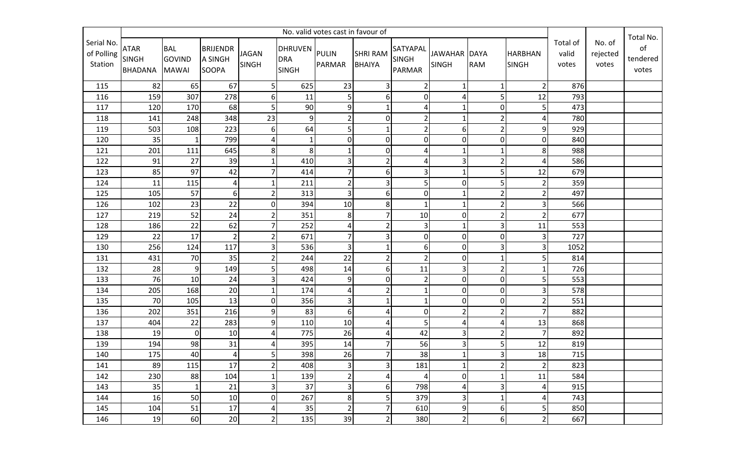|                                     | No. valid votes cast in favour of             |                                             |                                            |                              |                                             |                |                                  |                                           |                              |                |                                |                            |                             |                                      |
|-------------------------------------|-----------------------------------------------|---------------------------------------------|--------------------------------------------|------------------------------|---------------------------------------------|----------------|----------------------------------|-------------------------------------------|------------------------------|----------------|--------------------------------|----------------------------|-----------------------------|--------------------------------------|
| Serial No.<br>of Polling<br>Station | <b>ATAR</b><br><b>SINGH</b><br><b>BHADANA</b> | <b>BAL</b><br><b>GOVIND</b><br><b>MAWAI</b> | <b>BRIJENDR</b><br>A SINGH<br><b>SOOPA</b> | <b>JAGAN</b><br><b>SINGH</b> | DHRUVEN PULIN<br><b>DRA</b><br><b>SINGH</b> | PARMAR         | <b>SHRI RAM</b><br><b>BHAIYA</b> | SATYAPAL<br><b>SINGH</b><br><b>PARMAR</b> | JAWAHAR DAYA<br><b>SINGH</b> | <b>RAM</b>     | <b>HARBHAN</b><br><b>SINGH</b> | Total of<br>valid<br>votes | No. of<br>rejected<br>votes | Total No.<br>of<br>tendered<br>votes |
| 115                                 | 82                                            | 65                                          | 67                                         | 5                            | 625                                         | 23             | 3                                | $\overline{2}$                            | $\mathbf{1}$                 | 1              | 2 <sup>1</sup>                 | 876                        |                             |                                      |
| 116                                 | 159                                           | 307                                         | 278                                        | 6                            | 11                                          | 5 <sup>1</sup> | 6                                | $\mathbf 0$                               | 4                            | 5              | 12                             | 793                        |                             |                                      |
| 117                                 | 120                                           | 170                                         | 68                                         | 5                            | 90                                          | 9              |                                  | 4                                         | 1                            | 0              | 5                              | 473                        |                             |                                      |
| 118                                 | 141                                           | 248                                         | 348                                        | 23                           | $9\,$                                       | 2              | 0                                | $\overline{2}$                            | $\mathbf{1}$                 | $\overline{2}$ |                                | 780                        |                             |                                      |
| 119                                 | 503                                           | 108                                         | 223                                        | 6                            | 64                                          | 5 <sup>1</sup> |                                  | $\overline{2}$                            | 6                            | $\overline{2}$ | 9                              | 929                        |                             |                                      |
| 120                                 | 35                                            | $\mathbf{1}$                                | 799                                        | 4                            | $\mathbf{1}$                                | $\overline{0}$ | 0                                | $\mathbf 0$                               | $\mathbf 0$                  | 0              | $\overline{0}$                 | 840                        |                             |                                      |
| 121                                 | 201                                           | 111                                         | 645                                        | $\bf 8$                      | 8                                           | $\mathbf{1}$   | 0                                | 4                                         | $\mathbf{1}$                 | $\mathbf{1}$   | 8 <sup>1</sup>                 | 988                        |                             |                                      |
| 122                                 | 91                                            | 27                                          | 39                                         | $\mathbf 1$                  | 410                                         | $\overline{3}$ |                                  | Δ                                         | 3                            | 2              |                                | 586                        |                             |                                      |
| 123                                 | 85                                            | 97                                          | 42                                         | $\overline{7}$               | 414                                         | $\overline{7}$ | 6                                | 3                                         | $\mathbf{1}$                 | 5              | 12                             | 679                        |                             |                                      |
| 124                                 | 11                                            | 115                                         | 4                                          | $\mathbf{1}$                 | 211                                         | 2              |                                  | 5                                         | 0                            | 5              |                                | 359                        |                             |                                      |
| 125                                 | 105                                           | 57                                          | 6                                          | $\overline{2}$               | 313                                         | $\overline{3}$ | 6                                | $\mathbf 0$                               | $\mathbf{1}$                 | $\overline{2}$ |                                | 497                        |                             |                                      |
| 126                                 | 102                                           | 23                                          | 22                                         | $\pmb{0}$                    | 394                                         | 10             | 8                                |                                           | $\mathbf{1}$                 | $\overline{2}$ | 3                              | 566                        |                             |                                      |
| 127                                 | 219                                           | 52                                          | 24                                         | $\overline{2}$               | 351                                         | 8 <sup>1</sup> |                                  | 10                                        | $\mathbf 0$                  | $\overline{2}$ | 2                              | 677                        |                             |                                      |
| 128                                 | 186                                           | 22                                          | 62                                         | $\overline{7}$               | 252                                         | 4              | $\overline{2}$                   | 3                                         | $\mathbf{1}$                 | $\overline{3}$ | 11                             | 553                        |                             |                                      |
| 129                                 | 22                                            | $17\,$                                      | $\overline{2}$                             | $\overline{2}$               | 671                                         | $\overline{7}$ |                                  | $\mathbf 0$                               | $\overline{0}$               | 0              | 3                              | 727                        |                             |                                      |
| 130                                 | 256                                           | 124                                         | 117                                        | 3                            | 536                                         | $\overline{3}$ |                                  | 6                                         | 0                            | 3              | 3                              | 1052                       |                             |                                      |
| 131                                 | 431                                           | 70                                          | 35                                         | $\overline{c}$               | 244                                         | 22             |                                  | $\overline{2}$                            | $\overline{0}$               | $\mathbf{1}$   |                                | 814                        |                             |                                      |
| 132                                 | 28                                            | 9                                           | 149                                        | 5                            | 498                                         | 14             | 6                                | 11                                        | 3                            | $\overline{2}$ |                                | 726                        |                             |                                      |
| 133                                 | 76                                            | 10                                          | 24                                         | 3                            | 424                                         | 9              | 0                                | $\overline{2}$                            | $\overline{0}$               | 0              | 5                              | 553                        |                             |                                      |
| 134                                 | 205                                           | 168                                         | 20                                         | $\mathbf 1$                  | 174                                         | $\overline{4}$ |                                  | $\mathbf{1}$                              | $\overline{0}$               | $\overline{0}$ | 3                              | 578                        |                             |                                      |
| 135                                 | 70                                            | 105                                         | 13                                         | $\pmb{0}$                    | 356                                         | $\overline{3}$ |                                  | $\mathbf{1}$                              | 0                            | 0              |                                | 551                        |                             |                                      |
| 136                                 | 202                                           | 351                                         | 216                                        | 9                            | 83                                          | 6 <sup>1</sup> |                                  | $\mathbf 0$                               | $\overline{2}$               | $\overline{2}$ |                                | 882                        |                             |                                      |
| 137                                 | 404                                           | 22                                          | 283                                        | 9                            | 110                                         | 10             |                                  | 5                                         | 4                            | 4              | 13                             | 868                        |                             |                                      |
| 138                                 | 19                                            | $\overline{0}$                              | 10                                         | 4                            | 775                                         | 26             |                                  | 42                                        | 3                            | $\overline{2}$ | 7                              | 892                        |                             |                                      |
| 139                                 | 194                                           | 98                                          | 31                                         | 4                            | 395                                         | 14             |                                  | 56                                        | 3                            | 5              | 12                             | 819                        |                             |                                      |
| 140                                 | 175                                           | 40                                          | 4                                          | 5                            | 398                                         | 26             | $\overline{7}$                   | 38                                        | $\mathbf 1$                  | $\overline{3}$ | 18                             | 715                        |                             |                                      |
| 141                                 | 89                                            | 115                                         | 17                                         | $\overline{\mathbf{c}}$      | 408                                         | $\overline{3}$ | 3                                | 181                                       | $\mathbf{1}$                 | $\overline{2}$ | 2 <sup>1</sup>                 | 823                        |                             |                                      |
| 142                                 | 230                                           | 88                                          | 104                                        | $\mathbf 1$                  | 139                                         | 2 <sup>1</sup> | 4                                | 4                                         | $\overline{0}$               | $\mathbf{1}$   | 11                             | 584                        |                             |                                      |
| 143                                 | 35                                            | $\mathbf{1}$                                | 21                                         | 3                            | 37                                          | $\overline{3}$ | 6                                | 798                                       | 4                            | 3              | $\overline{4}$                 | 915                        |                             |                                      |
| 144                                 | 16                                            | 50                                          | 10                                         | 0                            | 267                                         | 8 <sup>1</sup> | 5                                | 379                                       | 3                            | $\mathbf{1}$   | 4                              | 743                        |                             |                                      |
| 145                                 | 104                                           | 51                                          | 17                                         | 4                            | 35                                          | 2 <sup>1</sup> | 7                                | 610                                       | $\boldsymbol{9}$             | 6              | 5 <sup>1</sup>                 | 850                        |                             |                                      |
| 146                                 | 19                                            | 60                                          | 20                                         | $\overline{2}$               | 135                                         | 39             | 2                                | 380                                       | $\overline{2}$               | $6\vert$       | 2 <sup>1</sup>                 | 667                        |                             |                                      |